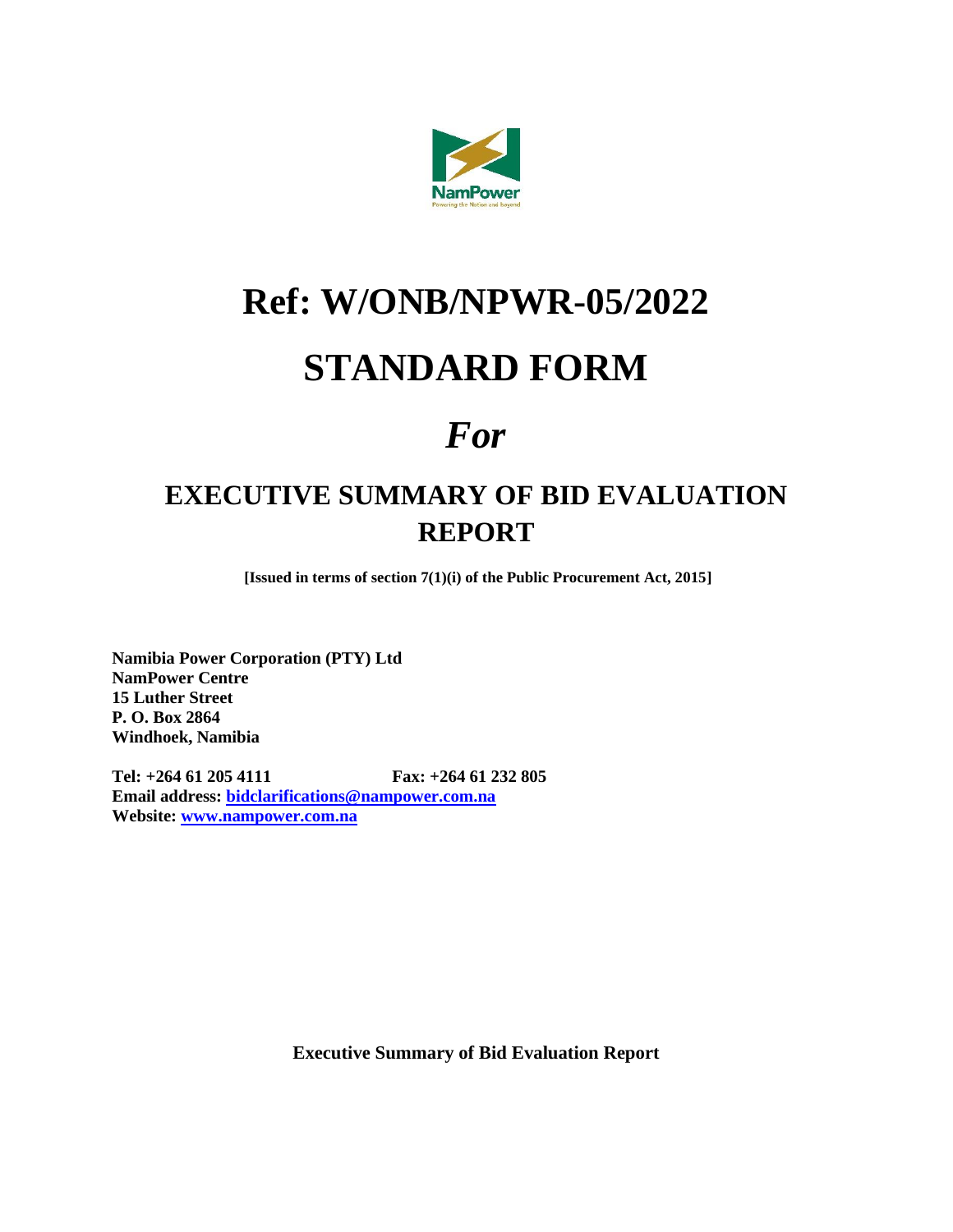

# **Ref: W/ONB/NPWR-05/2022**

## **STANDARD FORM**

## *For*

## **EXECUTIVE SUMMARY OF BID EVALUATION REPORT**

**[Issued in terms of section 7(1)(i) of the Public Procurement Act, 2015]**

**Namibia Power Corporation (PTY) Ltd NamPower Centre 15 Luther Street P. O. Box 2864 Windhoek, Namibia**

**Tel: +264 61 205 4111 Fax: +264 61 232 805 Email address: [bidclarifications@nampower.com.na](mailto:bidclarifications@nampower.com.na) Website: [www.nampower.com.na](http://www.nampower.com.na/)**

**Executive Summary of Bid Evaluation Report**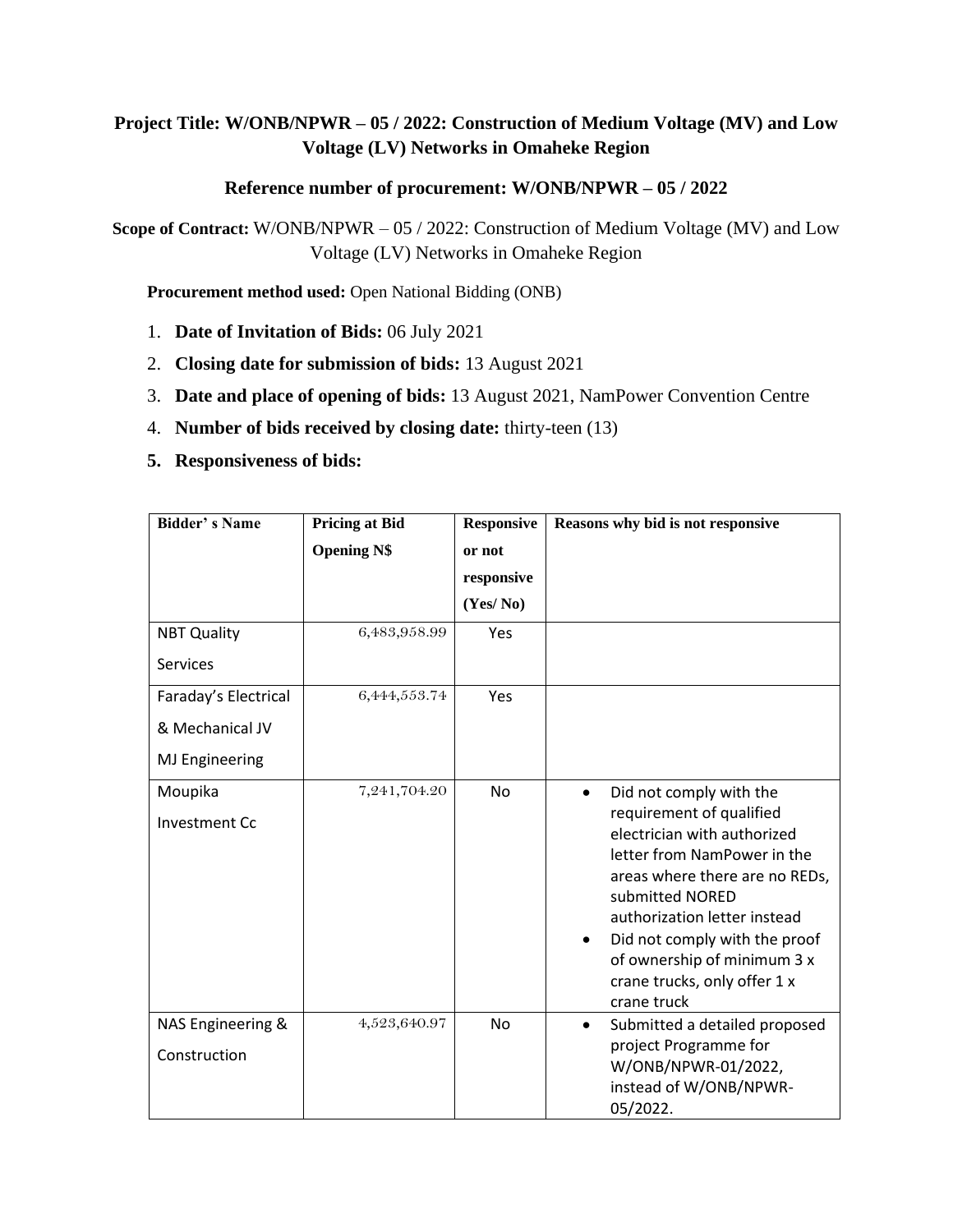### **Project Title: W/ONB/NPWR – 05 / 2022: Construction of Medium Voltage (MV) and Low Voltage (LV) Networks in Omaheke Region**

#### **Reference number of procurement: W/ONB/NPWR – 05 / 2022**

**Scope of Contract:** W/ONB/NPWR – 05 / 2022: Construction of Medium Voltage (MV) and Low Voltage (LV) Networks in Omaheke Region

**Procurement method used:** Open National Bidding (ONB)

- 1. **Date of Invitation of Bids:** 06 July 2021
- 2. **Closing date for submission of bids:** 13 August 2021
- 3. **Date and place of opening of bids:** 13 August 2021, NamPower Convention Centre
- 4. **Number of bids received by closing date:** thirty-teen (13)
- **5. Responsiveness of bids:**

| <b>Bidder's Name</b>              | <b>Pricing at Bid</b> | <b>Responsive</b> | Reasons why bid is not responsive                                                                                                                                                                                                                                                                                                               |  |  |
|-----------------------------------|-----------------------|-------------------|-------------------------------------------------------------------------------------------------------------------------------------------------------------------------------------------------------------------------------------------------------------------------------------------------------------------------------------------------|--|--|
|                                   | <b>Opening N\$</b>    | or not            |                                                                                                                                                                                                                                                                                                                                                 |  |  |
|                                   |                       | responsive        |                                                                                                                                                                                                                                                                                                                                                 |  |  |
|                                   |                       | (Yes/No)          |                                                                                                                                                                                                                                                                                                                                                 |  |  |
| <b>NBT Quality</b>                | 6,483,958.99          | Yes               |                                                                                                                                                                                                                                                                                                                                                 |  |  |
| Services                          |                       |                   |                                                                                                                                                                                                                                                                                                                                                 |  |  |
| Faraday's Electrical              | 6,444,553.74          | Yes               |                                                                                                                                                                                                                                                                                                                                                 |  |  |
| & Mechanical JV                   |                       |                   |                                                                                                                                                                                                                                                                                                                                                 |  |  |
| <b>MJ Engineering</b>             |                       |                   |                                                                                                                                                                                                                                                                                                                                                 |  |  |
| Moupika<br><b>Investment Cc</b>   | 7,241,704.20          | No                | Did not comply with the<br>$\bullet$<br>requirement of qualified<br>electrician with authorized<br>letter from NamPower in the<br>areas where there are no REDs,<br>submitted NORED<br>authorization letter instead<br>Did not comply with the proof<br>$\bullet$<br>of ownership of minimum 3 x<br>crane trucks, only offer 1 x<br>crane truck |  |  |
| NAS Engineering &<br>Construction | 4,523,640.97          | No                | Submitted a detailed proposed<br>$\bullet$<br>project Programme for<br>W/ONB/NPWR-01/2022,<br>instead of W/ONB/NPWR-<br>05/2022.                                                                                                                                                                                                                |  |  |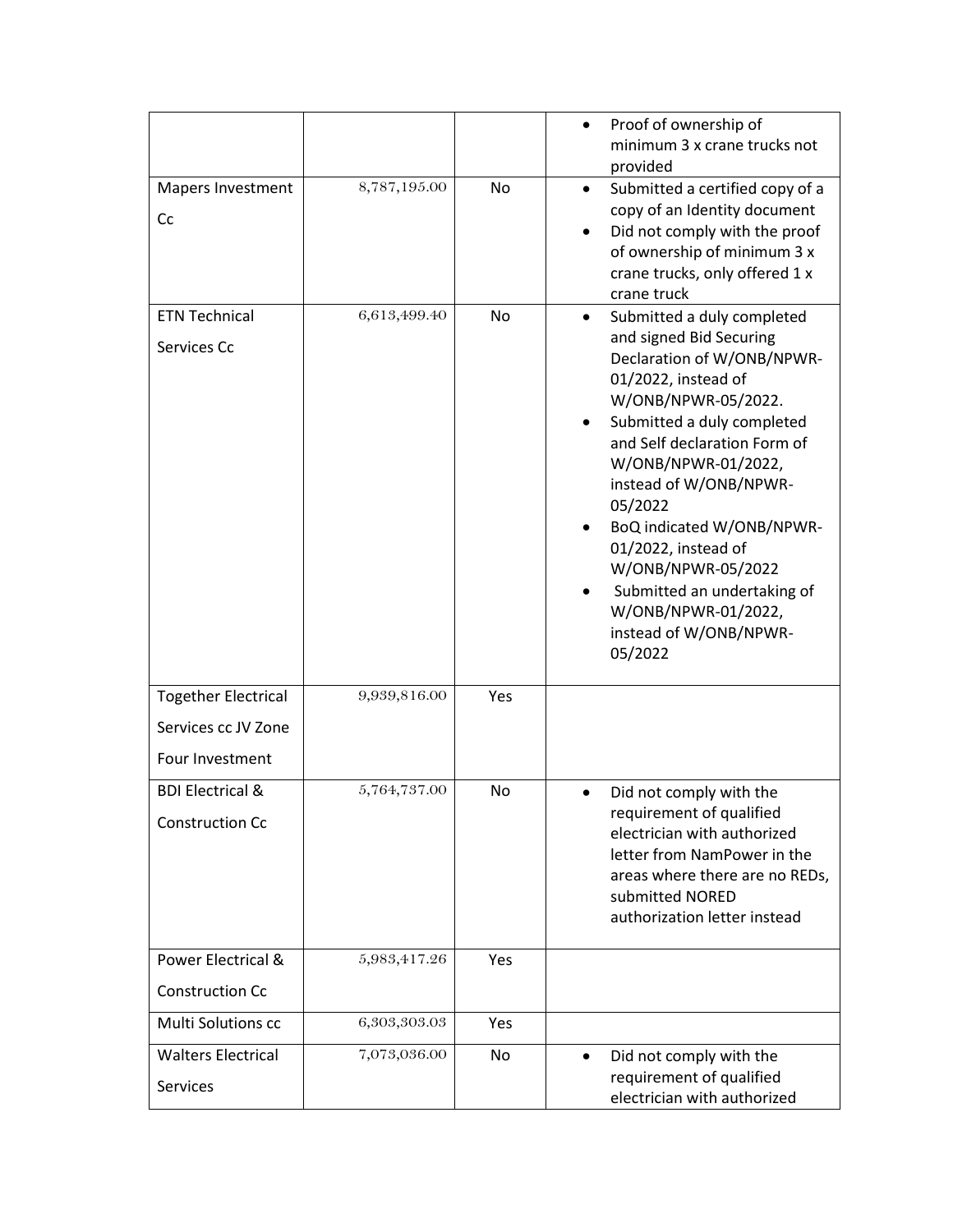|                                                                      |              |     | Proof of ownership of<br>minimum 3 x crane trucks not<br>provided                                                                                                                                                                                                                                                                                                                                                                |
|----------------------------------------------------------------------|--------------|-----|----------------------------------------------------------------------------------------------------------------------------------------------------------------------------------------------------------------------------------------------------------------------------------------------------------------------------------------------------------------------------------------------------------------------------------|
| Mapers Investment<br>Cc                                              | 8,787,195.00 | No  | Submitted a certified copy of a<br>$\bullet$<br>copy of an Identity document<br>Did not comply with the proof<br>of ownership of minimum 3 x<br>crane trucks, only offered 1 x<br>crane truck                                                                                                                                                                                                                                    |
| <b>ETN Technical</b><br>Services Cc                                  | 6,613,499.40 | No  | Submitted a duly completed<br>and signed Bid Securing<br>Declaration of W/ONB/NPWR-<br>01/2022, instead of<br>W/ONB/NPWR-05/2022.<br>Submitted a duly completed<br>and Self declaration Form of<br>W/ONB/NPWR-01/2022,<br>instead of W/ONB/NPWR-<br>05/2022<br>BoQ indicated W/ONB/NPWR-<br>01/2022, instead of<br>W/ONB/NPWR-05/2022<br>Submitted an undertaking of<br>W/ONB/NPWR-01/2022,<br>instead of W/ONB/NPWR-<br>05/2022 |
| <b>Together Electrical</b><br>Services cc JV Zone<br>Four Investment | 9,939,816.00 | Yes |                                                                                                                                                                                                                                                                                                                                                                                                                                  |
| <b>BDI Electrical &amp;</b><br><b>Construction Cc</b>                | 5,764,737.00 | No  | Did not comply with the<br>requirement of qualified<br>electrician with authorized<br>letter from NamPower in the<br>areas where there are no REDs,<br>submitted NORED<br>authorization letter instead                                                                                                                                                                                                                           |
| Power Electrical &<br><b>Construction Cc</b>                         | 5,983,417.26 | Yes |                                                                                                                                                                                                                                                                                                                                                                                                                                  |
| Multi Solutions cc                                                   | 6,303,303.03 | Yes |                                                                                                                                                                                                                                                                                                                                                                                                                                  |
| <b>Walters Electrical</b><br><b>Services</b>                         | 7,073,036.00 | No. | Did not comply with the<br>$\bullet$<br>requirement of qualified<br>electrician with authorized                                                                                                                                                                                                                                                                                                                                  |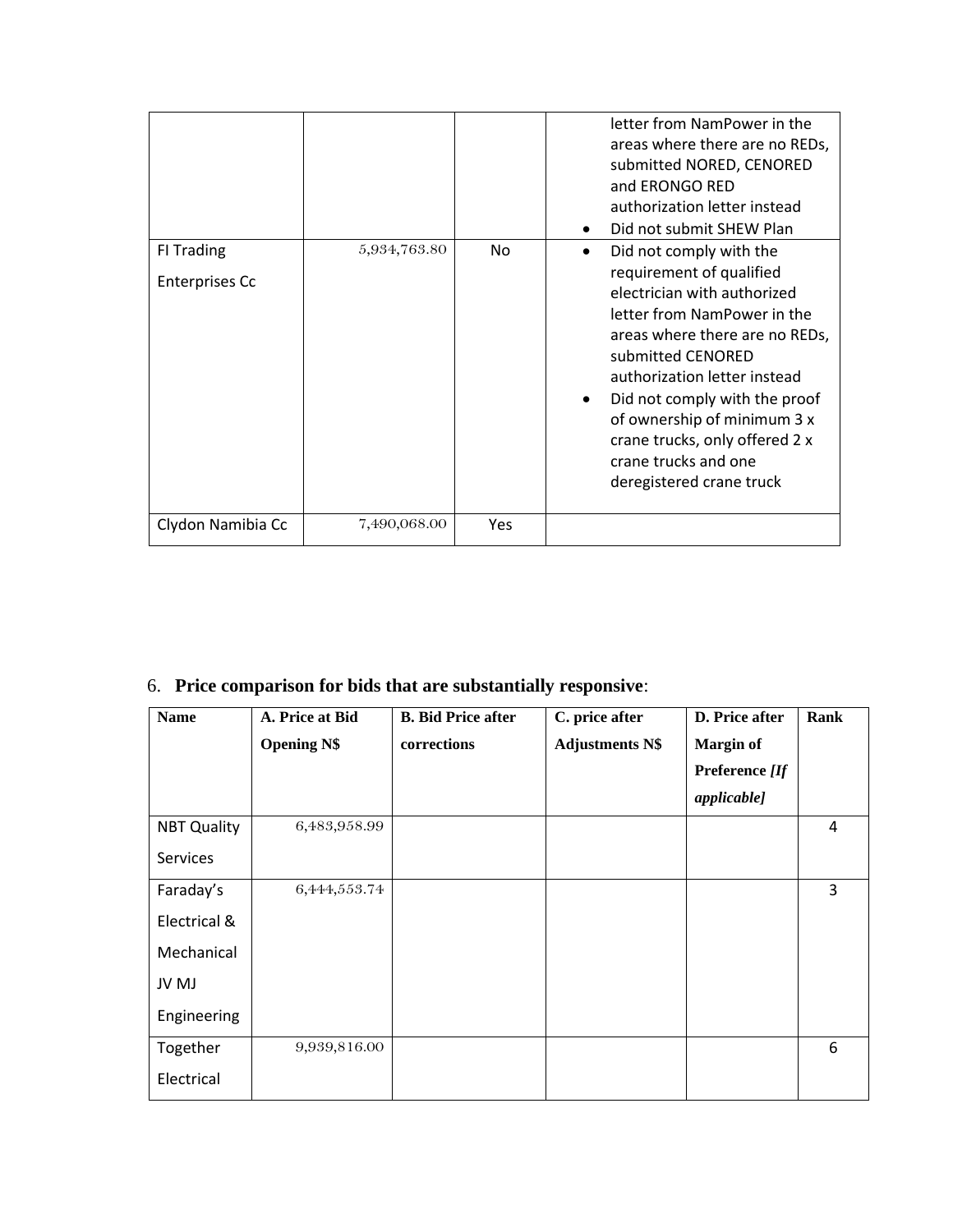|                                     |              |     | letter from NamPower in the<br>areas where there are no REDs,<br>submitted NORED, CENORED<br>and ERONGO RED<br>authorization letter instead<br>Did not submit SHEW Plan<br>$\bullet$                                                                                                                                                                           |
|-------------------------------------|--------------|-----|----------------------------------------------------------------------------------------------------------------------------------------------------------------------------------------------------------------------------------------------------------------------------------------------------------------------------------------------------------------|
| FI Trading<br><b>Enterprises Cc</b> | 5,934,763.80 | No  | Did not comply with the<br>requirement of qualified<br>electrician with authorized<br>letter from NamPower in the<br>areas where there are no REDs,<br>submitted CENORED<br>authorization letter instead<br>Did not comply with the proof<br>of ownership of minimum 3 x<br>crane trucks, only offered 2 x<br>crane trucks and one<br>deregistered crane truck |
| Clydon Namibia Cc                   | 7,490,068.00 | Yes |                                                                                                                                                                                                                                                                                                                                                                |

### 6. **Price comparison for bids that are substantially responsive**:

| <b>Name</b>        | A. Price at Bid    | <b>B.</b> Bid Price after | C. price after         | D. Price after     | Rank |
|--------------------|--------------------|---------------------------|------------------------|--------------------|------|
|                    | <b>Opening N\$</b> | corrections               | <b>Adjustments N\$</b> | <b>Margin of</b>   |      |
|                    |                    |                           |                        | Preference [If     |      |
|                    |                    |                           |                        | <i>applicable]</i> |      |
| <b>NBT Quality</b> | 6,483,958.99       |                           |                        |                    | 4    |
| Services           |                    |                           |                        |                    |      |
| Faraday's          | 6,444,553.74       |                           |                        |                    | 3    |
| Electrical &       |                    |                           |                        |                    |      |
| Mechanical         |                    |                           |                        |                    |      |
| JV MJ              |                    |                           |                        |                    |      |
| Engineering        |                    |                           |                        |                    |      |
| Together           | 9,939,816.00       |                           |                        |                    | 6    |
| Electrical         |                    |                           |                        |                    |      |